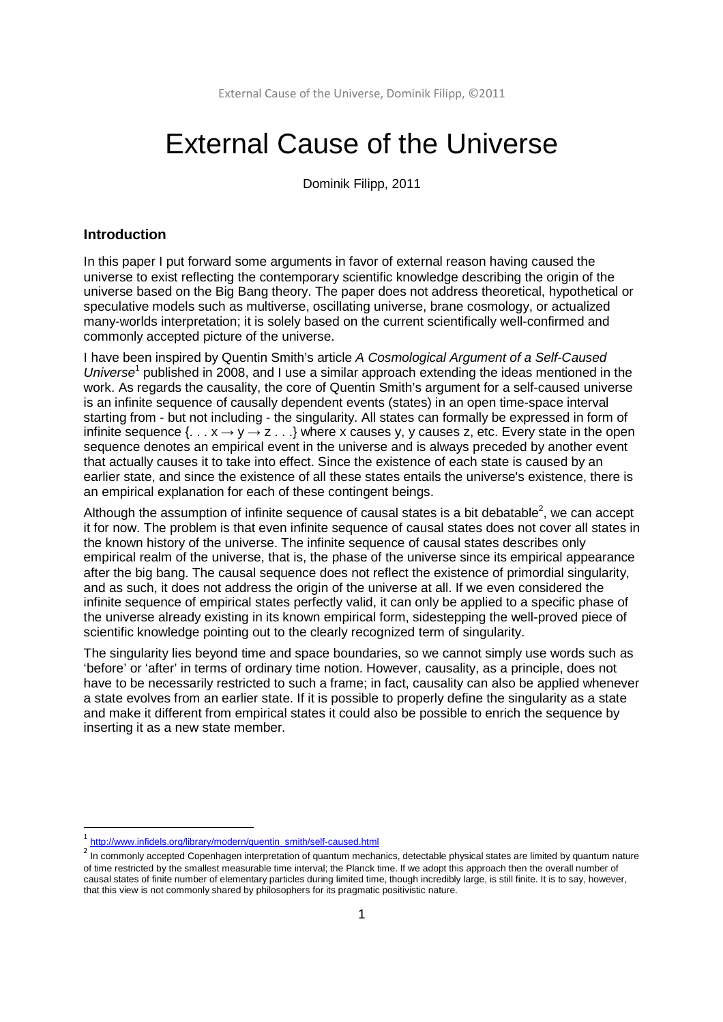# External Cause of the Universe

Dominik Filipp, 2011

## **Introduction**

In this paper I put forward some arguments in favor of external reason having caused the universe to exist reflecting the contemporary scientific knowledge describing the origin of the universe based on the Big Bang theory. The paper does not address theoretical, hypothetical or speculative models such as multiverse, oscillating universe, brane cosmology, or actualized many-worlds interpretation; it is solely based on the current scientifically well-confirmed and commonly accepted picture of the universe.

I have been inspired by Quentin Smith's article A Cosmological Argument of a Self-Caused Universe<sup>1</sup> published in 2008, and I use a similar approach extending the ideas mentioned in the work. As regards the causality, the core of Quentin Smith's argument for a self-caused universe is an infinite sequence of causally dependent events (states) in an open time-space interval starting from - but not including - the singularity. All states can formally be expressed in form of infinite sequence  $\{ \ldots x \rightarrow y \rightarrow z \ldots \}$  where x causes y, y causes z, etc. Every state in the open sequence denotes an empirical event in the universe and is always preceded by another event that actually causes it to take into effect. Since the existence of each state is caused by an earlier state, and since the existence of all these states entails the universe's existence, there is an empirical explanation for each of these contingent beings.

Although the assumption of infinite sequence of causal states is a bit debatable<sup>2</sup>, we can accept it for now. The problem is that even infinite sequence of causal states does not cover all states in the known history of the universe. The infinite sequence of causal states describes only empirical realm of the universe, that is, the phase of the universe since its empirical appearance after the big bang. The causal sequence does not reflect the existence of primordial singularity, and as such, it does not address the origin of the universe at all. If we even considered the infinite sequence of empirical states perfectly valid, it can only be applied to a specific phase of the universe already existing in its known empirical form, sidestepping the well-proved piece of scientific knowledge pointing out to the clearly recognized term of singularity.

The singularity lies beyond time and space boundaries, so we cannot simply use words such as 'before' or 'after' in terms of ordinary time notion. However, causality, as a principle, does not have to be necessarily restricted to such a frame; in fact, causality can also be applied whenever a state evolves from an earlier state. If it is possible to properly define the singularity as a state and make it different from empirical states it could also be possible to enrich the sequence by inserting it as a new state member.

<u>.</u>

<sup>&</sup>lt;sup>1</sup> http://www.infidels.org/library/modern/quentin\_smith/self-caused.html

<sup>&</sup>lt;sup>2</sup> In commonly accepted Copenhagen interpretation of quantum mechanics, detectable physical states are limited by quantum nature of time restricted by the smallest measurable time interval; the Planck time. If we adopt this approach then the overall number of causal states of finite number of elementary particles during limited time, though incredibly large, is still finite. It is to say, however, that this view is not commonly shared by philosophers for its pragmatic positivistic nature.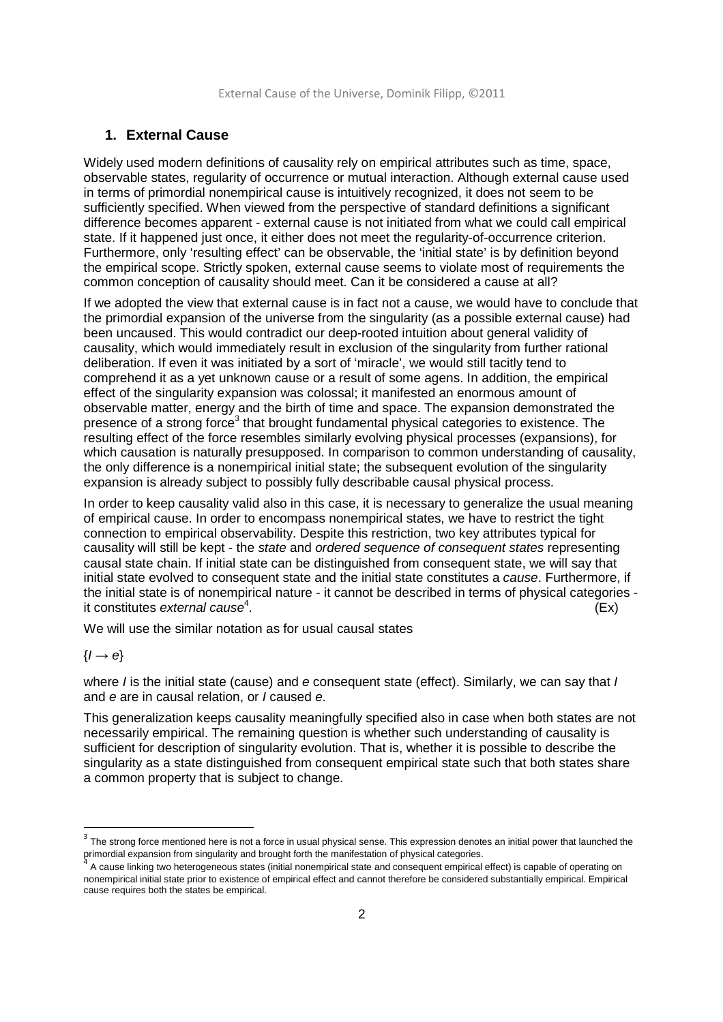## **1. External Cause**

Widely used modern definitions of causality rely on empirical attributes such as time, space, observable states, regularity of occurrence or mutual interaction. Although external cause used in terms of primordial nonempirical cause is intuitively recognized, it does not seem to be sufficiently specified. When viewed from the perspective of standard definitions a significant difference becomes apparent - external cause is not initiated from what we could call empirical state. If it happened just once, it either does not meet the regularity-of-occurrence criterion. Furthermore, only 'resulting effect' can be observable, the 'initial state' is by definition beyond the empirical scope. Strictly spoken, external cause seems to violate most of requirements the common conception of causality should meet. Can it be considered a cause at all?

If we adopted the view that external cause is in fact not a cause, we would have to conclude that the primordial expansion of the universe from the singularity (as a possible external cause) had been uncaused. This would contradict our deep-rooted intuition about general validity of causality, which would immediately result in exclusion of the singularity from further rational deliberation. If even it was initiated by a sort of 'miracle', we would still tacitly tend to comprehend it as a yet unknown cause or a result of some agens. In addition, the empirical effect of the singularity expansion was colossal; it manifested an enormous amount of observable matter, energy and the birth of time and space. The expansion demonstrated the presence of a strong force<sup>3</sup> that brought fundamental physical categories to existence. The resulting effect of the force resembles similarly evolving physical processes (expansions), for which causation is naturally presupposed. In comparison to common understanding of causality, the only difference is a nonempirical initial state; the subsequent evolution of the singularity expansion is already subject to possibly fully describable causal physical process.

In order to keep causality valid also in this case, it is necessary to generalize the usual meaning of empirical cause. In order to encompass nonempirical states, we have to restrict the tight connection to empirical observability. Despite this restriction, two key attributes typical for causality will still be kept - the state and ordered sequence of consequent states representing causal state chain. If initial state can be distinguished from consequent state, we will say that initial state evolved to consequent state and the initial state constitutes a cause. Furthermore, if the initial state is of nonempirical nature - it cannot be described in terms of physical categories it constitutes external cause $4$ . .  $(Ex)$ 

We will use the similar notation as for usual causal states

#### $\{I \rightarrow e\}$

<u>.</u>

where I is the initial state (cause) and e consequent state (effect). Similarly, we can say that I and e are in causal relation, or *I* caused e.

This generalization keeps causality meaningfully specified also in case when both states are not necessarily empirical. The remaining question is whether such understanding of causality is sufficient for description of singularity evolution. That is, whether it is possible to describe the singularity as a state distinguished from consequent empirical state such that both states share a common property that is subject to change.

 $3$  The strong force mentioned here is not a force in usual physical sense. This expression denotes an initial power that launched the primordial expansion from singularity and brought forth the manifestation of physical categories.<br><sup>4</sup> A sause lishing the hatagogaese we atates (initial nonomalities) at the and concentrate anglical

A cause linking two heterogeneous states (initial nonempirical state and consequent empirical effect) is capable of operating on nonempirical initial state prior to existence of empirical effect and cannot therefore be considered substantially empirical. Empirical cause requires both the states be empirical.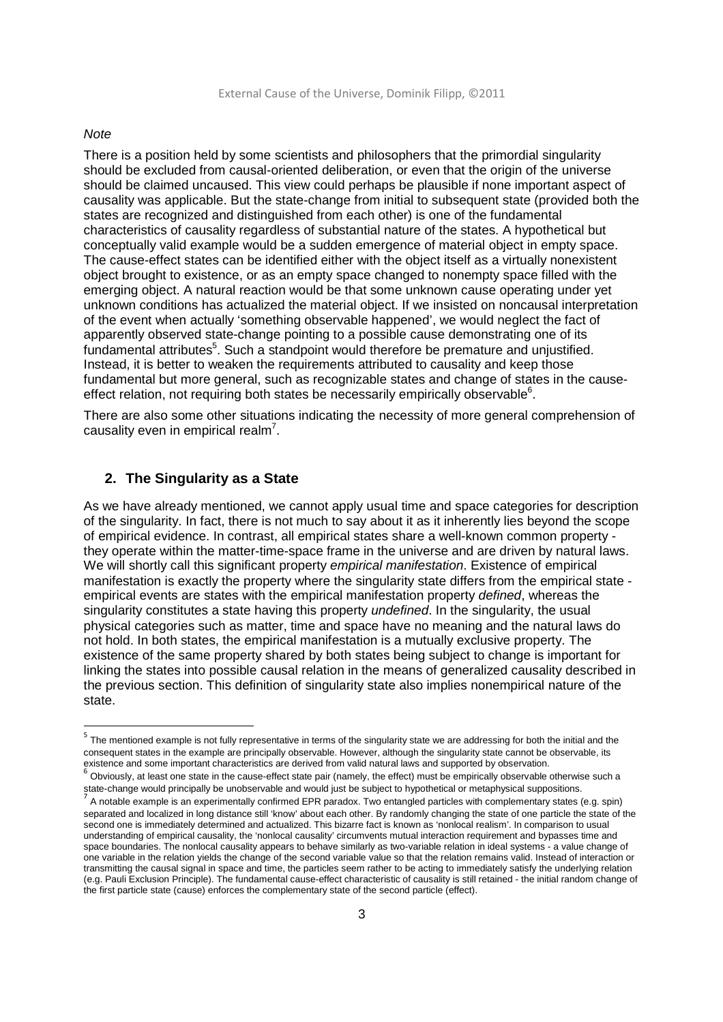#### **Note**

<u>.</u>

There is a position held by some scientists and philosophers that the primordial singularity should be excluded from causal-oriented deliberation, or even that the origin of the universe should be claimed uncaused. This view could perhaps be plausible if none important aspect of causality was applicable. But the state-change from initial to subsequent state (provided both the states are recognized and distinguished from each other) is one of the fundamental characteristics of causality regardless of substantial nature of the states. A hypothetical but conceptually valid example would be a sudden emergence of material object in empty space. The cause-effect states can be identified either with the object itself as a virtually nonexistent object brought to existence, or as an empty space changed to nonempty space filled with the emerging object. A natural reaction would be that some unknown cause operating under yet unknown conditions has actualized the material object. If we insisted on noncausal interpretation of the event when actually 'something observable happened', we would neglect the fact of apparently observed state-change pointing to a possible cause demonstrating one of its fundamental attributes<sup>5</sup>. Such a standpoint would therefore be premature and unjustified. Instead, it is better to weaken the requirements attributed to causality and keep those fundamental but more general, such as recognizable states and change of states in the causeeffect relation, not requiring both states be necessarily empirically observable $6$ .

There are also some other situations indicating the necessity of more general comprehension of causality even in empirical realm<sup>7</sup>.

# **2. The Singularity as a State**

As we have already mentioned, we cannot apply usual time and space categories for description of the singularity. In fact, there is not much to say about it as it inherently lies beyond the scope of empirical evidence. In contrast, all empirical states share a well-known common property they operate within the matter-time-space frame in the universe and are driven by natural laws. We will shortly call this significant property empirical manifestation. Existence of empirical manifestation is exactly the property where the singularity state differs from the empirical state empirical events are states with the empirical manifestation property defined, whereas the singularity constitutes a state having this property *undefined*. In the singularity, the usual physical categories such as matter, time and space have no meaning and the natural laws do not hold. In both states, the empirical manifestation is a mutually exclusive property. The existence of the same property shared by both states being subject to change is important for linking the states into possible causal relation in the means of generalized causality described in the previous section. This definition of singularity state also implies nonempirical nature of the state.

<sup>&</sup>lt;sup>5</sup> The mentioned example is not fully representative in terms of the singularity state we are addressing for both the initial and the consequent states in the example are principally observable. However, although the singularity state cannot be observable, its existence and some important characteristics are derived from valid natural laws and supported by observation.

<sup>&</sup>lt;sup>6</sup> Obviously, at least one state in the cause-effect state pair (namely, the effect) must be empirically observable otherwise such a state-change would principally be unobservable and would just be subject to hypothetical or metaphysical suppositions.

<sup>7</sup> A notable example is an experimentally confirmed EPR paradox. Two entangled particles with complementary states (e.g. spin) separated and localized in long distance still 'know' about each other. By randomly changing the state of one particle the state of the second one is immediately determined and actualized. This bizarre fact is known as 'nonlocal realism'. In comparison to usual understanding of empirical causality, the 'nonlocal causality' circumvents mutual interaction requirement and bypasses time and space boundaries. The nonlocal causality appears to behave similarly as two-variable relation in ideal systems - a value change of one variable in the relation yields the change of the second variable value so that the relation remains valid. Instead of interaction or transmitting the causal signal in space and time, the particles seem rather to be acting to immediately satisfy the underlying relation (e.g. Pauli Exclusion Principle). The fundamental cause-effect characteristic of causality is still retained - the initial random change of the first particle state (cause) enforces the complementary state of the second particle (effect).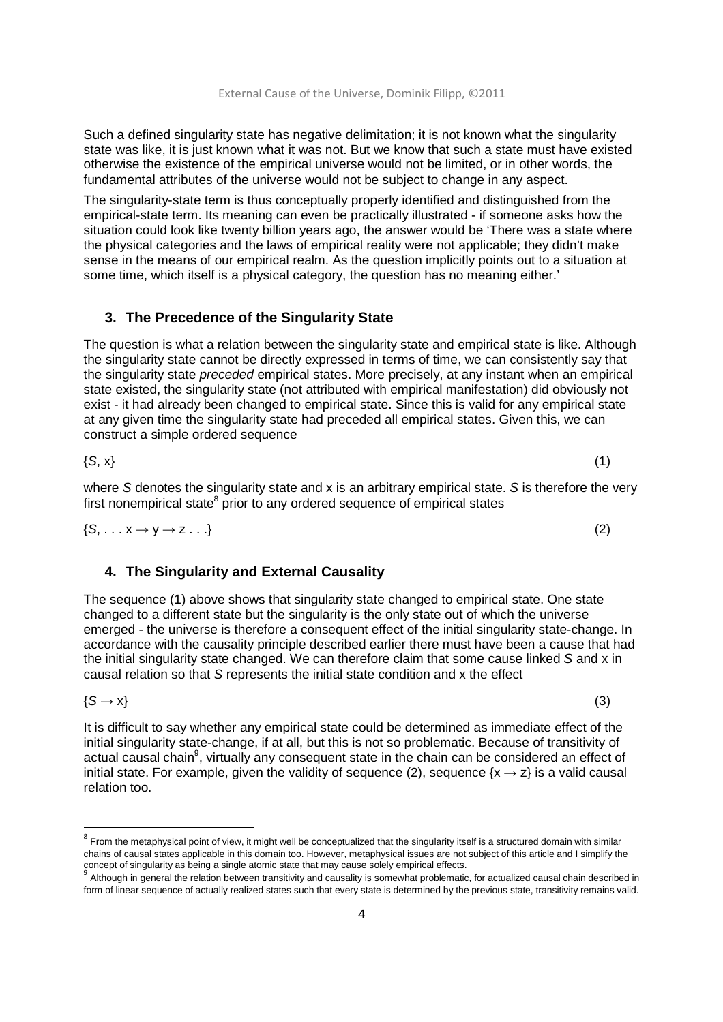Such a defined singularity state has negative delimitation; it is not known what the singularity state was like, it is just known what it was not. But we know that such a state must have existed otherwise the existence of the empirical universe would not be limited, or in other words, the fundamental attributes of the universe would not be subject to change in any aspect.

The singularity-state term is thus conceptually properly identified and distinguished from the empirical-state term. Its meaning can even be practically illustrated - if someone asks how the situation could look like twenty billion years ago, the answer would be 'There was a state where the physical categories and the laws of empirical reality were not applicable; they didn't make sense in the means of our empirical realm. As the question implicitly points out to a situation at some time, which itself is a physical category, the question has no meaning either.'

## **3. The Precedence of the Singularity State**

The question is what a relation between the singularity state and empirical state is like. Although the singularity state cannot be directly expressed in terms of time, we can consistently say that the singularity state preceded empirical states. More precisely, at any instant when an empirical state existed, the singularity state (not attributed with empirical manifestation) did obviously not exist - it had already been changed to empirical state. Since this is valid for any empirical state at any given time the singularity state had preceded all empirical states. Given this, we can construct a simple ordered sequence

 $\{S, x\}$  (1)

where S denotes the singularity state and x is an arbitrary empirical state. S is therefore the very first nonempirical state<sup>8</sup> prior to any ordered sequence of empirical states

 $\{S, \ldots x \rightarrow y \rightarrow z \ldots \}$  (2)

## **4. The Singularity and External Causality**

The sequence (1) above shows that singularity state changed to empirical state. One state changed to a different state but the singularity is the only state out of which the universe emerged - the universe is therefore a consequent effect of the initial singularity state-change. In accordance with the causality principle described earlier there must have been a cause that had the initial singularity state changed. We can therefore claim that some cause linked S and x in causal relation so that S represents the initial state condition and x the effect

 $\{S \rightarrow x\}$  (3)

<u>.</u>

It is difficult to say whether any empirical state could be determined as immediate effect of the initial singularity state-change, if at all, but this is not so problematic. Because of transitivity of actual causal chain<sup>9</sup>, virtually any consequent state in the chain can be considered an effect of initial state. For example, given the validity of sequence (2), sequence  $\{x \rightarrow z\}$  is a valid causal relation too.

 $^8$  From the metaphysical point of view, it might well be conceptualized that the singularity itself is a structured domain with similar chains of causal states applicable in this domain too. However, metaphysical issues are not subject of this article and I simplify the concept of singularity as being a single atomic state that may cause solely empirical effects.<br><sup>9</sup> Although in general the relation between transitivity and causality is somewhat problematic, for actualized causal chain de

form of linear sequence of actually realized states such that every state is determined by the previous state, transitivity remains valid.